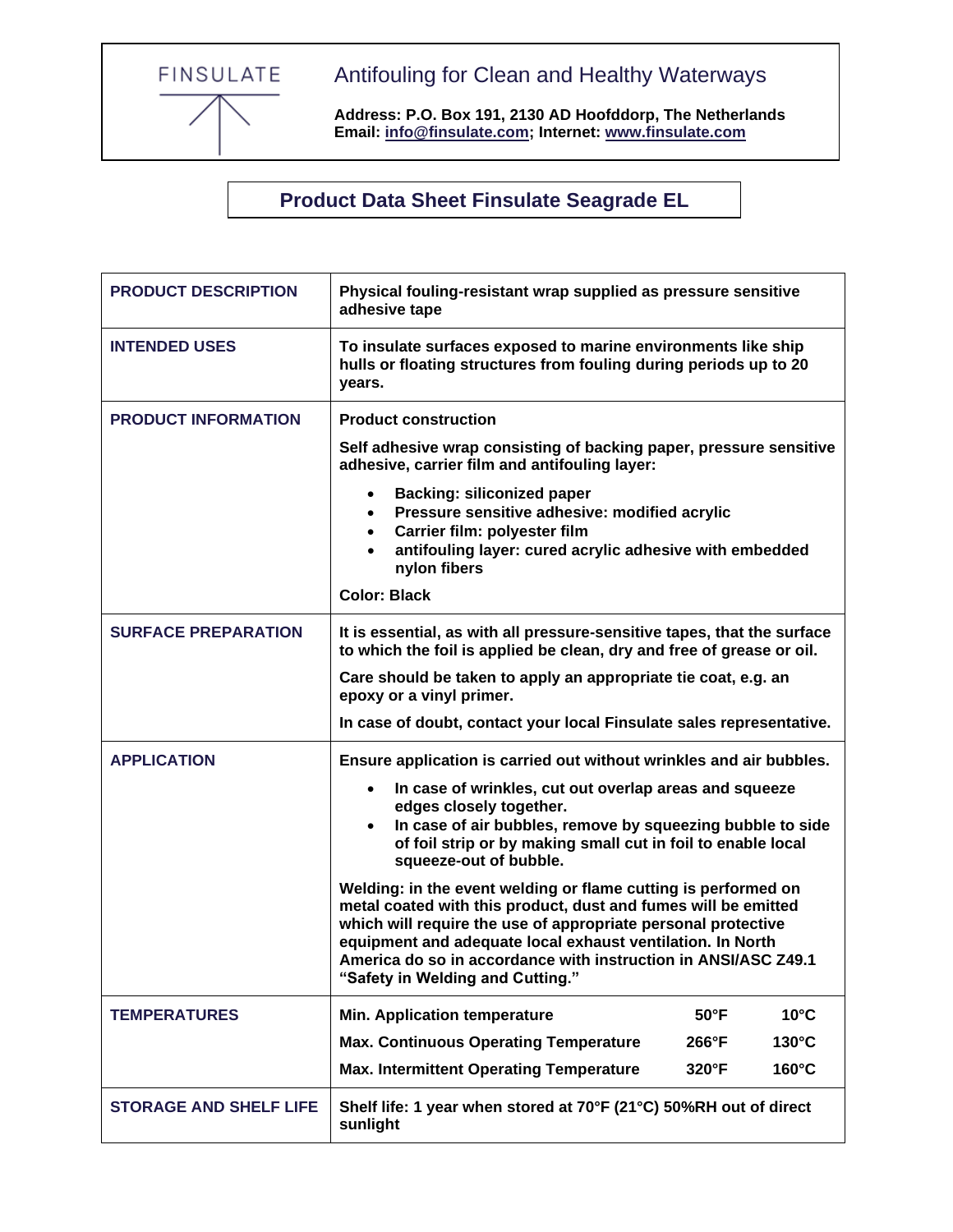FINSULATE

Antifouling for Clean and Healthy Waterways

**Address: P.O. Box 191, 2130 AD Hoofddorp, The Netherlands Email: [info@finsulate.com;](mailto:info@finsulate.com) Internet: [www.finsulate.com](http://www.finsulate.com/)**

**Product Data Sheet Finsulate Seagrade EL**

| <b>PRODUCT DESCRIPTION</b>    | Physical fouling-resistant wrap supplied as pressure sensitive<br>adhesive tape                                                                                                              |                                                                                                                                                                                                                                                                                                                                   |                |
|-------------------------------|----------------------------------------------------------------------------------------------------------------------------------------------------------------------------------------------|-----------------------------------------------------------------------------------------------------------------------------------------------------------------------------------------------------------------------------------------------------------------------------------------------------------------------------------|----------------|
| <b>INTENDED USES</b>          | To insulate surfaces exposed to marine environments like ship<br>hulls or floating structures from fouling during periods up to 20<br>years.                                                 |                                                                                                                                                                                                                                                                                                                                   |                |
| <b>PRODUCT INFORMATION</b>    | <b>Product construction</b>                                                                                                                                                                  |                                                                                                                                                                                                                                                                                                                                   |                |
|                               | Self adhesive wrap consisting of backing paper, pressure sensitive<br>adhesive, carrier film and antifouling layer:                                                                          |                                                                                                                                                                                                                                                                                                                                   |                |
|                               | <b>Backing: siliconized paper</b><br>Pressure sensitive adhesive: modified acrylic<br>$\bullet$                                                                                              |                                                                                                                                                                                                                                                                                                                                   |                |
|                               | Carrier film: polyester film<br>$\bullet$<br>antifouling layer: cured acrylic adhesive with embedded<br>nylon fibers                                                                         |                                                                                                                                                                                                                                                                                                                                   |                |
|                               | <b>Color: Black</b>                                                                                                                                                                          |                                                                                                                                                                                                                                                                                                                                   |                |
| <b>SURFACE PREPARATION</b>    | It is essential, as with all pressure-sensitive tapes, that the surface<br>to which the foil is applied be clean, dry and free of grease or oil.                                             |                                                                                                                                                                                                                                                                                                                                   |                |
|                               | Care should be taken to apply an appropriate tie coat, e.g. an<br>epoxy or a vinyl primer.                                                                                                   |                                                                                                                                                                                                                                                                                                                                   |                |
|                               | In case of doubt, contact your local Finsulate sales representative.                                                                                                                         |                                                                                                                                                                                                                                                                                                                                   |                |
| <b>APPLICATION</b>            | Ensure application is carried out without wrinkles and air bubbles.                                                                                                                          |                                                                                                                                                                                                                                                                                                                                   |                |
|                               | In case of wrinkles, cut out overlap areas and squeeze<br>$\bullet$                                                                                                                          |                                                                                                                                                                                                                                                                                                                                   |                |
|                               | edges closely together.<br>In case of air bubbles, remove by squeezing bubble to side<br>$\bullet$<br>of foil strip or by making small cut in foil to enable local<br>squeeze-out of bubble. |                                                                                                                                                                                                                                                                                                                                   |                |
|                               | "Safety in Welding and Cutting."                                                                                                                                                             | Welding: in the event welding or flame cutting is performed on<br>metal coated with this product, dust and fumes will be emitted<br>which will require the use of appropriate personal protective<br>equipment and adequate local exhaust ventilation. In North<br>America do so in accordance with instruction in ANSI/ASC Z49.1 |                |
| <b>TEMPERATURES</b>           | <b>Min. Application temperature</b>                                                                                                                                                          | $50^{\circ}$ F                                                                                                                                                                                                                                                                                                                    | $10^{\circ}$ C |
|                               | <b>Max. Continuous Operating Temperature</b>                                                                                                                                                 | 266°F                                                                                                                                                                                                                                                                                                                             | 130°C          |
|                               | <b>Max. Intermittent Operating Temperature</b>                                                                                                                                               | 320°F                                                                                                                                                                                                                                                                                                                             | 160°C          |
| <b>STORAGE AND SHELF LIFE</b> | Shelf life: 1 year when stored at 70°F (21°C) 50%RH out of direct<br>sunlight                                                                                                                |                                                                                                                                                                                                                                                                                                                                   |                |